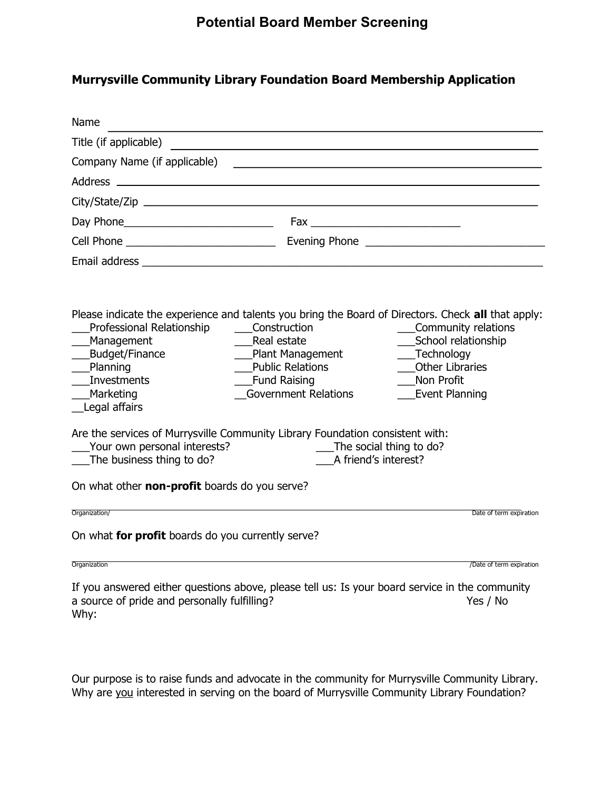## Murrysville Community Library Foundation Board Membership Application

| Name                                                                                                                                                                                                                        |                                                                                                                                     |                                                                                                                          |
|-----------------------------------------------------------------------------------------------------------------------------------------------------------------------------------------------------------------------------|-------------------------------------------------------------------------------------------------------------------------------------|--------------------------------------------------------------------------------------------------------------------------|
| Title (if applicable)                                                                                                                                                                                                       |                                                                                                                                     |                                                                                                                          |
|                                                                                                                                                                                                                             |                                                                                                                                     |                                                                                                                          |
|                                                                                                                                                                                                                             |                                                                                                                                     |                                                                                                                          |
|                                                                                                                                                                                                                             |                                                                                                                                     |                                                                                                                          |
|                                                                                                                                                                                                                             |                                                                                                                                     |                                                                                                                          |
|                                                                                                                                                                                                                             |                                                                                                                                     | Evening Phone <b>Example 20</b>                                                                                          |
|                                                                                                                                                                                                                             |                                                                                                                                     |                                                                                                                          |
| Please indicate the experience and talents you bring the Board of Directors. Check all that apply:<br>Professional Relationship<br>Management<br>Budget/Finance<br>Planning<br>Investments<br>___Marketing<br>Legal affairs | Construction<br>Real estate<br>___Plant Management<br><b>Public Relations</b><br><b>Eund Raising</b><br><b>Government Relations</b> | Community relations<br>School relationship<br>___Technology<br>___Other Libraries<br>Non Profit<br><b>Event Planning</b> |
| Are the services of Murrysville Community Library Foundation consistent with:<br>Your own personal interests?<br>The business thing to do?                                                                                  | A friend's interest?                                                                                                                | The social thing to do?                                                                                                  |
| On what other non-profit boards do you serve?                                                                                                                                                                               |                                                                                                                                     |                                                                                                                          |
| Organization/                                                                                                                                                                                                               |                                                                                                                                     | Date of term expiration                                                                                                  |
| On what for profit boards do you currently serve?                                                                                                                                                                           |                                                                                                                                     |                                                                                                                          |
| Organization                                                                                                                                                                                                                |                                                                                                                                     | /Date of term expiration                                                                                                 |
| If you answered either questions above, please tell us: Is your board service in the community<br>a source of pride and personally fulfilling?                                                                              |                                                                                                                                     | Yes / No                                                                                                                 |

Our purpose is to raise funds and advocate in the community for Murrysville Community Library. Why are you interested in serving on the board of Murrysville Community Library Foundation?

Why: